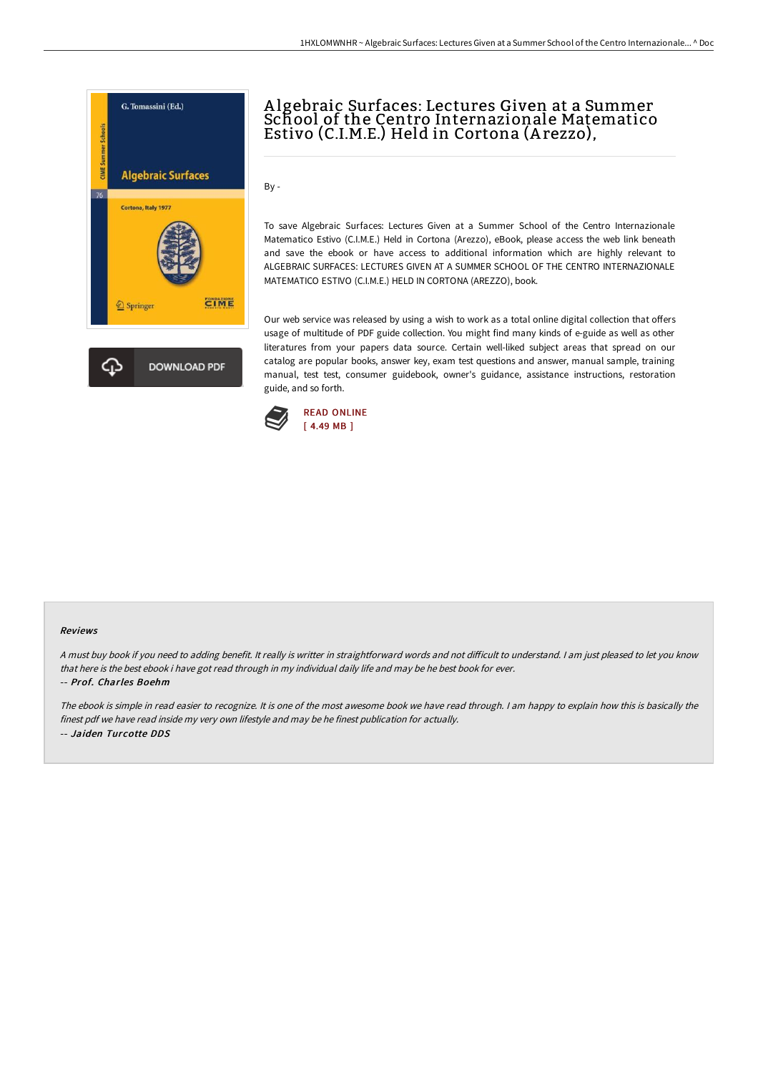

# A lgebraic Surfaces: Lectures Given at a Summer School of the Centro Internazionale Matematico Estivo (C.I.M.E.) Held in Cortona (A rezzo),

By -

To save Algebraic Surfaces: Lectures Given at a Summer School of the Centro Internazionale Matematico Estivo (C.I.M.E.) Held in Cortona (Arezzo), eBook, please access the web link beneath and save the ebook or have access to additional information which are highly relevant to ALGEBRAIC SURFACES: LECTURES GIVEN AT A SUMMER SCHOOL OF THE CENTRO INTERNAZIONALE MATEMATICO ESTIVO (C.I.M.E.) HELD IN CORTONA (AREZZO), book.

Our web service was released by using a wish to work as a total online digital collection that offers usage of multitude of PDF guide collection. You might find many kinds of e-guide as well as other literatures from your papers data source. Certain well-liked subject areas that spread on our catalog are popular books, answer key, exam test questions and answer, manual sample, training manual, test test, consumer guidebook, owner's guidance, assistance instructions, restoration guide, and so forth.



#### Reviews

A must buy book if you need to adding benefit. It really is writter in straightforward words and not difficult to understand. I am just pleased to let you know that here is the best ebook i have got read through in my individual daily life and may be he best book for ever. -- Prof. Charles Boehm

The ebook is simple in read easier to recognize. It is one of the most awesome book we have read through. <sup>I</sup> am happy to explain how this is basically the finest pdf we have read inside my very own lifestyle and may be he finest publication for actually. -- Jaiden Turcotte DDS